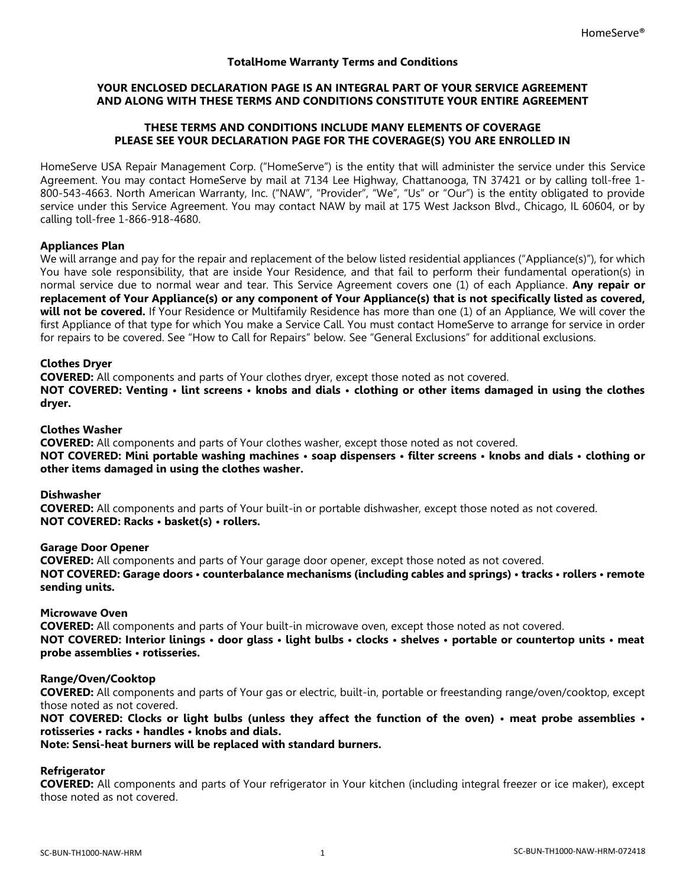## **TotalHome Warranty Terms and Conditions**

## **YOUR ENCLOSED DECLARATION PAGE IS AN INTEGRAL PART OF YOUR SERVICE AGREEMENT AND ALONG WITH THESE TERMS AND CONDITIONS CONSTITUTE YOUR ENTIRE AGREEMENT**

#### **THESE TERMS AND CONDITIONS INCLUDE MANY ELEMENTS OF COVERAGE PLEASE SEE YOUR DECLARATION PAGE FOR THE COVERAGE(S) YOU ARE ENROLLED IN**

HomeServe USA Repair Management Corp. ("HomeServe") is the entity that will administer the service under this Service Agreement. You may contact HomeServe by mail at 7134 Lee Highway, Chattanooga, TN 37421 or by calling toll-free 1- 800-543-4663. North American Warranty, Inc. ("NAW", "Provider", "We", "Us" or "Our") is the entity obligated to provide service under this Service Agreement. You may contact NAW by mail at 175 West Jackson Blvd., Chicago, IL 60604, or by calling toll-free 1-866-918-4680.

#### **Appliances Plan**

We will arrange and pay for the repair and replacement of the below listed residential appliances ("Appliance(s)"), for which You have sole responsibility, that are inside Your Residence, and that fail to perform their fundamental operation(s) in normal service due to normal wear and tear. This Service Agreement covers one (1) of each Appliance. **Any repair or replacement of Your Appliance(s) or any component of Your Appliance(s) that is not specifically listed as covered,**  will not be covered. If Your Residence or Multifamily Residence has more than one (1) of an Appliance, We will cover the first Appliance of that type for which You make a Service Call. You must contact HomeServe to arrange for service in order for repairs to be covered. See "How to Call for Repairs" below. See "General Exclusions" for additional exclusions.

#### **Clothes Dryer**

**COVERED:** All components and parts of Your clothes dryer, except those noted as not covered. **NOT COVERED: Venting • lint screens • knobs and dials • clothing or other items damaged in using the clothes dryer.**

#### **Clothes Washer**

**COVERED:** All components and parts of Your clothes washer, except those noted as not covered. **NOT COVERED: Mini portable washing machines • soap dispensers • filter screens • knobs and dials • clothing or other items damaged in using the clothes washer.**

### **Dishwasher**

**COVERED:** All components and parts of Your built-in or portable dishwasher, except those noted as not covered. **NOT COVERED: Racks • basket(s) • rollers.**

#### **Garage Door Opener**

**COVERED:** All components and parts of Your garage door opener, except those noted as not covered. **NOT COVERED: Garage doors • counterbalance mechanisms (including cables and springs) • tracks • rollers • remote sending units.**

#### **Microwave Oven**

**COVERED:** All components and parts of Your built-in microwave oven, except those noted as not covered. **NOT COVERED: Interior linings • door glass • light bulbs • clocks • shelves • portable or countertop units • meat probe assemblies • rotisseries.**

#### **Range/Oven/Cooktop**

**COVERED:** All components and parts of Your gas or electric, built-in, portable or freestanding range/oven/cooktop, except those noted as not covered.

**NOT COVERED: Clocks or light bulbs (unless they affect the function of the oven) • meat probe assemblies • rotisseries • racks • handles • knobs and dials.**

### **Note: Sensi-heat burners will be replaced with standard burners.**

# **Refrigerator**

**COVERED:** All components and parts of Your refrigerator in Your kitchen (including integral freezer or ice maker), except those noted as not covered.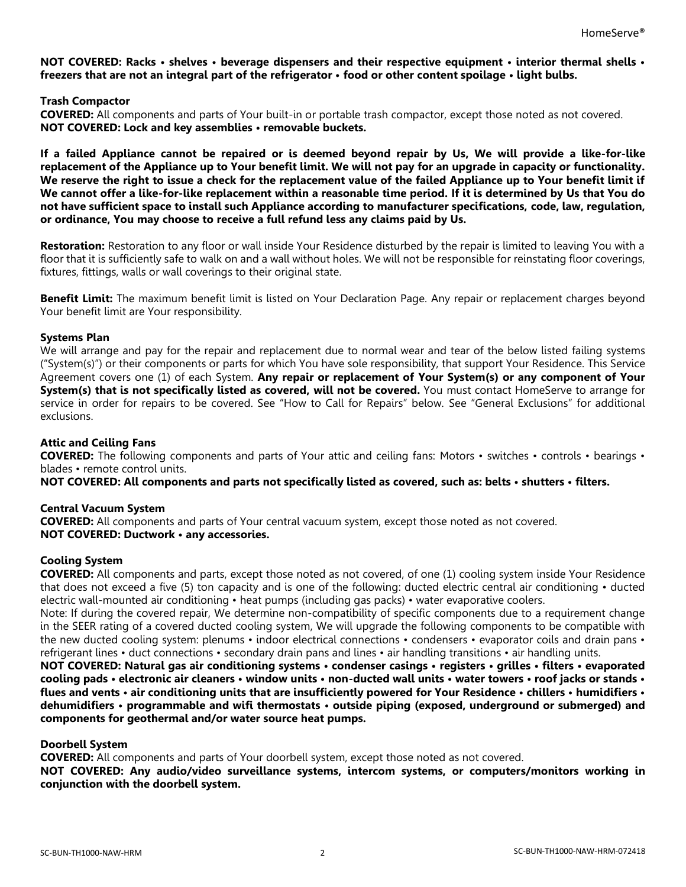**NOT COVERED: Racks • shelves • beverage dispensers and their respective equipment • interior thermal shells • freezers that are not an integral part of the refrigerator • food or other content spoilage • light bulbs.**

**Trash Compactor**

**COVERED:** All components and parts of Your built-in or portable trash compactor, except those noted as not covered. **NOT COVERED: Lock and key assemblies • removable buckets.**

**If a failed Appliance cannot be repaired or is deemed beyond repair by Us, We will provide a like-for-like replacement of the Appliance up to Your benefit limit. We will not pay for an upgrade in capacity or functionality. We reserve the right to issue a check for the replacement value of the failed Appliance up to Your benefit limit if We cannot offer a like-for-like replacement within a reasonable time period. If it is determined by Us that You do not have sufficient space to install such Appliance according to manufacturer specifications, code, law, regulation, or ordinance, You may choose to receive a full refund less any claims paid by Us.**

**Restoration:** Restoration to any floor or wall inside Your Residence disturbed by the repair is limited to leaving You with a floor that it is sufficiently safe to walk on and a wall without holes. We will not be responsible for reinstating floor coverings, fixtures, fittings, walls or wall coverings to their original state.

**Benefit Limit:** The maximum benefit limit is listed on Your Declaration Page. Any repair or replacement charges beyond Your benefit limit are Your responsibility.

#### **Systems Plan**

We will arrange and pay for the repair and replacement due to normal wear and tear of the below listed failing systems ("System(s)") or their components or parts for which You have sole responsibility, that support Your Residence. This Service Agreement covers one (1) of each System. **Any repair or replacement of Your System(s) or any component of Your System(s) that is not specifically listed as covered, will not be covered.** You must contact HomeServe to arrange for service in order for repairs to be covered. See "How to Call for Repairs" below. See "General Exclusions" for additional exclusions.

### **Attic and Ceiling Fans**

**COVERED:** The following components and parts of Your attic and ceiling fans: Motors • switches • controls • bearings • blades • remote control units.

**NOT COVERED: All components and parts not specifically listed as covered, such as: belts • shutters • filters.**

#### **Central Vacuum System**

**COVERED:** All components and parts of Your central vacuum system, except those noted as not covered. **NOT COVERED: Ductwork • any accessories.**

#### **Cooling System**

**COVERED:** All components and parts, except those noted as not covered, of one (1) cooling system inside Your Residence that does not exceed a five (5) ton capacity and is one of the following: ducted electric central air conditioning • ducted electric wall-mounted air conditioning • heat pumps (including gas packs) • water evaporative coolers.

Note: If during the covered repair, We determine non-compatibility of specific components due to a requirement change in the SEER rating of a covered ducted cooling system, We will upgrade the following components to be compatible with the new ducted cooling system: plenums • indoor electrical connections • condensers • evaporator coils and drain pans • refrigerant lines • duct connections • secondary drain pans and lines • air handling transitions • air handling units.

**NOT COVERED: Natural gas air conditioning systems • condenser casings • registers • grilles • filters • evaporated cooling pads • electronic air cleaners • window units • non-ducted wall units • water towers • roof jacks or stands • flues and vents • air conditioning units that are insufficiently powered for Your Residence • chillers • humidifiers • dehumidifiers • programmable and wifi thermostats • outside piping (exposed, underground or submerged) and components for geothermal and/or water source heat pumps.**

#### **Doorbell System**

**COVERED:** All components and parts of Your doorbell system, except those noted as not covered.

**NOT COVERED: Any audio/video surveillance systems, intercom systems, or computers/monitors working in conjunction with the doorbell system.**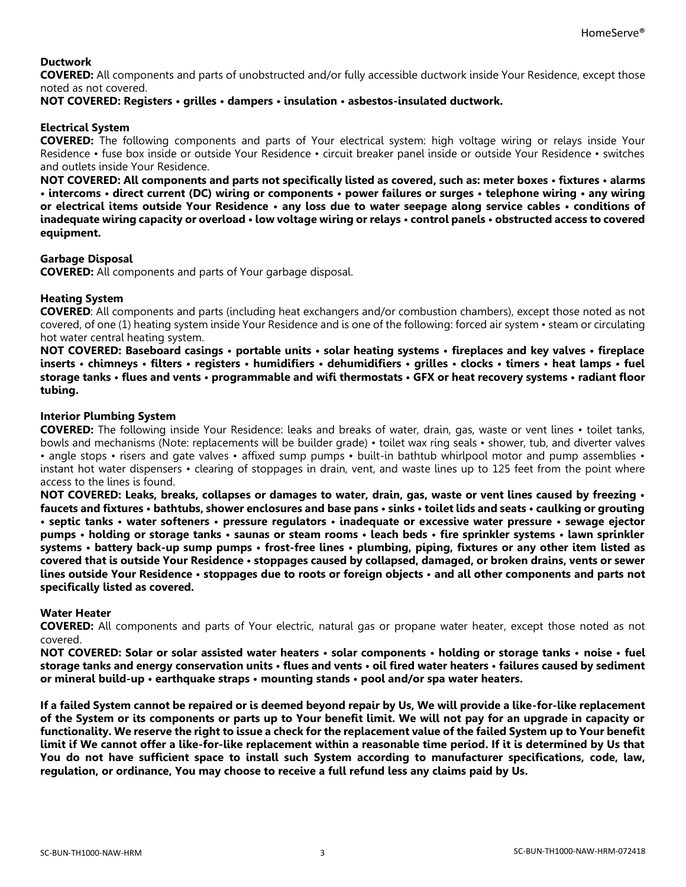# **Ductwork**

**COVERED:** All components and parts of unobstructed and/or fully accessible ductwork inside Your Residence, except those noted as not covered.

### **NOT COVERED: Registers • grilles • dampers • insulation • asbestos-insulated ductwork.**

# **Electrical System**

**COVERED:** The following components and parts of Your electrical system: high voltage wiring or relays inside Your Residence • fuse box inside or outside Your Residence • circuit breaker panel inside or outside Your Residence • switches and outlets inside Your Residence.

**NOT COVERED: All components and parts not specifically listed as covered, such as: meter boxes • fixtures • alarms • intercoms • direct current (DC) wiring or components • power failures or surges • telephone wiring • any wiring or electrical items outside Your Residence • any loss due to water seepage along service cables • conditions of inadequate wiring capacity or overload • low voltage wiring or relays • control panels • obstructed access to covered equipment.**

# **Garbage Disposal**

**COVERED:** All components and parts of Your garbage disposal.

# **Heating System**

**COVERED**: All components and parts (including heat exchangers and/or combustion chambers), except those noted as not covered, of one (1) heating system inside Your Residence and is one of the following: forced air system • steam or circulating hot water central heating system.

**NOT COVERED: Baseboard casings • portable units • solar heating systems • fireplaces and key valves • fireplace inserts • chimneys • filters • registers • humidifiers • dehumidifiers • grilles • clocks • timers • heat lamps • fuel storage tanks • flues and vents • programmable and wifi thermostats • GFX or heat recovery systems • radiant floor tubing.**

## **Interior Plumbing System**

**COVERED:** The following inside Your Residence: leaks and breaks of water, drain, gas, waste or vent lines • toilet tanks, bowls and mechanisms (Note: replacements will be builder grade) • toilet wax ring seals • shower, tub, and diverter valves • angle stops • risers and gate valves • affixed sump pumps • built-in bathtub whirlpool motor and pump assemblies • instant hot water dispensers • clearing of stoppages in drain, vent, and waste lines up to 125 feet from the point where access to the lines is found.

**NOT COVERED: Leaks, breaks, collapses or damages to water, drain, gas, waste or vent lines caused by freezing • faucets and fixtures • bathtubs, shower enclosures and base pans • sinks • toilet lids and seats • caulking or grouting • septic tanks • water softeners • pressure regulators • inadequate or excessive water pressure • sewage ejector pumps • holding or storage tanks • saunas or steam rooms • leach beds • fire sprinkler systems • lawn sprinkler systems • battery back-up sump pumps • frost-free lines • plumbing, piping, fixtures or any other item listed as covered that is outside Your Residence • stoppages caused by collapsed, damaged, or broken drains, vents or sewer lines outside Your Residence • stoppages due to roots or foreign objects • and all other components and parts not specifically listed as covered.**

#### **Water Heater**

**COVERED:** All components and parts of Your electric, natural gas or propane water heater, except those noted as not covered.

**NOT COVERED: Solar or solar assisted water heaters • solar components • holding or storage tanks • noise • fuel storage tanks and energy conservation units • flues and vents • oil fired water heaters • failures caused by sediment or mineral build-up • earthquake straps • mounting stands • pool and/or spa water heaters.**

**If a failed System cannot be repaired or is deemed beyond repair by Us, We will provide a like-for-like replacement of the System or its components or parts up to Your benefit limit. We will not pay for an upgrade in capacity or functionality. We reserve the right to issue a check for the replacement value of the failed System up to Your benefit limit if We cannot offer a like-for-like replacement within a reasonable time period. If it is determined by Us that You do not have sufficient space to install such System according to manufacturer specifications, code, law, regulation, or ordinance, You may choose to receive a full refund less any claims paid by Us.**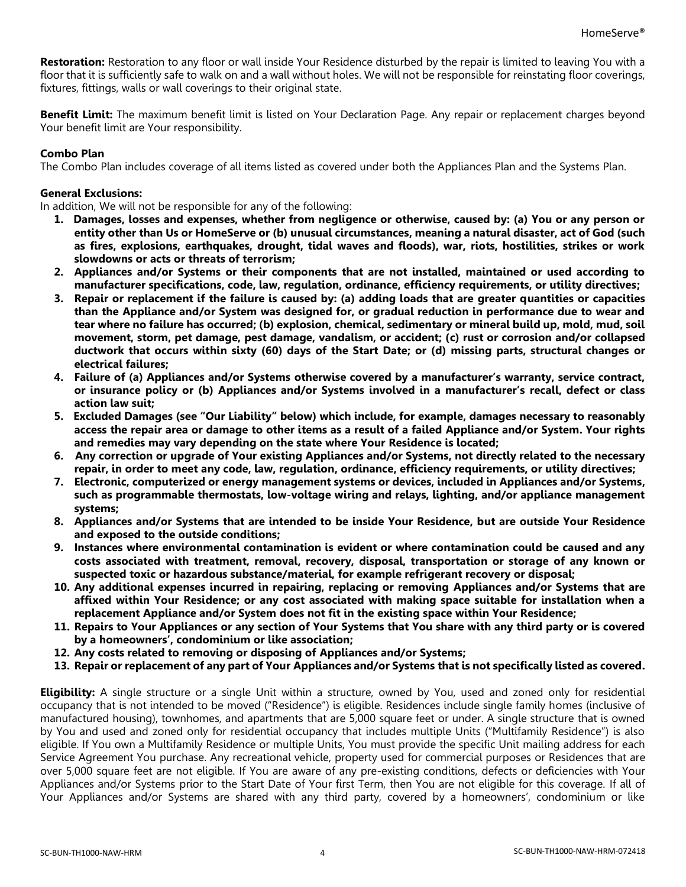**Restoration:** Restoration to any floor or wall inside Your Residence disturbed by the repair is limited to leaving You with a floor that it is sufficiently safe to walk on and a wall without holes. We will not be responsible for reinstating floor coverings, fixtures, fittings, walls or wall coverings to their original state.

**Benefit Limit:** The maximum benefit limit is listed on Your Declaration Page. Any repair or replacement charges beyond Your benefit limit are Your responsibility.

# **Combo Plan**

The Combo Plan includes coverage of all items listed as covered under both the Appliances Plan and the Systems Plan.

## **General Exclusions:**

In addition, We will not be responsible for any of the following:

- **1. Damages, losses and expenses, whether from negligence or otherwise, caused by: (a) You or any person or entity other than Us or HomeServe or (b) unusual circumstances, meaning a natural disaster, act of God (such as fires, explosions, earthquakes, drought, tidal waves and floods), war, riots, hostilities, strikes or work slowdowns or acts or threats of terrorism;**
- **2. Appliances and/or Systems or their components that are not installed, maintained or used according to manufacturer specifications, code, law, regulation, ordinance, efficiency requirements, or utility directives;**
- **3. Repair or replacement if the failure is caused by: (a) adding loads that are greater quantities or capacities than the Appliance and/or System was designed for, or gradual reduction in performance due to wear and tear where no failure has occurred; (b) explosion, chemical, sedimentary or mineral build up, mold, mud, soil movement, storm, pet damage, pest damage, vandalism, or accident; (c) rust or corrosion and/or collapsed ductwork that occurs within sixty (60) days of the Start Date; or (d) missing parts, structural changes or electrical failures;**
- **4. Failure of (a) Appliances and/or Systems otherwise covered by a manufacturer's warranty, service contract, or insurance policy or (b) Appliances and/or Systems involved in a manufacturer's recall, defect or class action law suit;**
- **5. Excluded Damages (see "Our Liability" below) which include, for example, damages necessary to reasonably access the repair area or damage to other items as a result of a failed Appliance and/or System. Your rights and remedies may vary depending on the state where Your Residence is located;**
- **6. Any correction or upgrade of Your existing Appliances and/or Systems, not directly related to the necessary repair, in order to meet any code, law, regulation, ordinance, efficiency requirements, or utility directives;**
- **7. Electronic, computerized or energy management systems or devices, included in Appliances and/or Systems, such as programmable thermostats, low-voltage wiring and relays, lighting, and/or appliance management systems;**
- **8. Appliances and/or Systems that are intended to be inside Your Residence, but are outside Your Residence and exposed to the outside conditions;**
- **9. Instances where environmental contamination is evident or where contamination could be caused and any costs associated with treatment, removal, recovery, disposal, transportation or storage of any known or suspected toxic or hazardous substance/material, for example refrigerant recovery or disposal;**
- **10. Any additional expenses incurred in repairing, replacing or removing Appliances and/or Systems that are affixed within Your Residence; or any cost associated with making space suitable for installation when a replacement Appliance and/or System does not fit in the existing space within Your Residence;**
- **11. Repairs to Your Appliances or any section of Your Systems that You share with any third party or is covered by a homeowners', condominium or like association;**
- **12. Any costs related to removing or disposing of Appliances and/or Systems;**
- **13. Repair or replacement of any part of Your Appliances and/or Systems that is not specifically listed as covered.**

**Eligibility:** A single structure or a single Unit within a structure, owned by You, used and zoned only for residential occupancy that is not intended to be moved ("Residence") is eligible. Residences include single family homes (inclusive of manufactured housing), townhomes, and apartments that are 5,000 square feet or under. A single structure that is owned by You and used and zoned only for residential occupancy that includes multiple Units ("Multifamily Residence") is also eligible. If You own a Multifamily Residence or multiple Units, You must provide the specific Unit mailing address for each Service Agreement You purchase. Any recreational vehicle, property used for commercial purposes or Residences that are over 5,000 square feet are not eligible. If You are aware of any pre-existing conditions, defects or deficiencies with Your Appliances and/or Systems prior to the Start Date of Your first Term, then You are not eligible for this coverage. If all of Your Appliances and/or Systems are shared with any third party, covered by a homeowners', condominium or like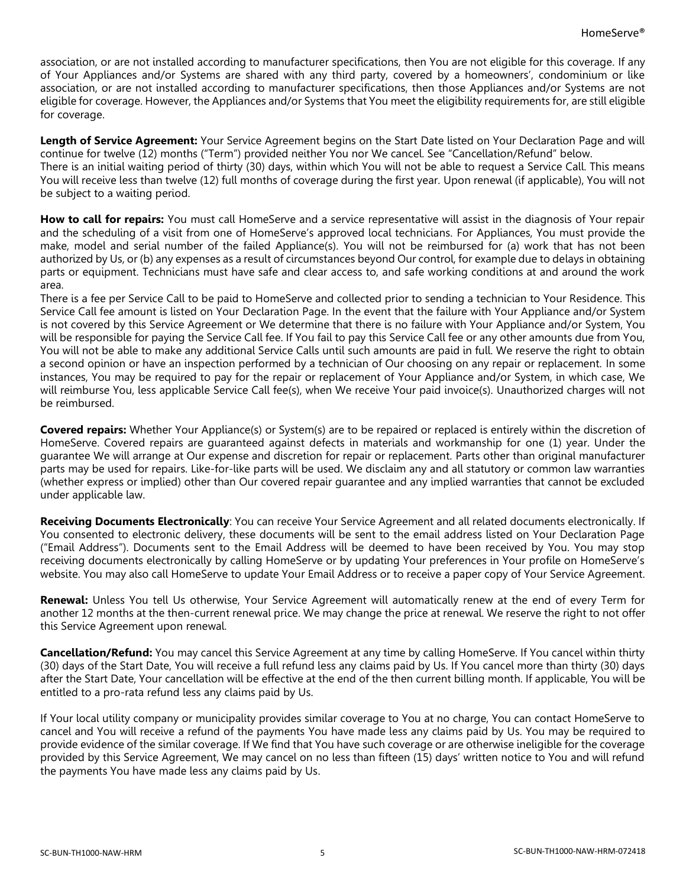association, or are not installed according to manufacturer specifications, then You are not eligible for this coverage. If any of Your Appliances and/or Systems are shared with any third party, covered by a homeowners', condominium or like association, or are not installed according to manufacturer specifications, then those Appliances and/or Systems are not eligible for coverage. However, the Appliances and/or Systems that You meet the eligibility requirements for, are still eligible for coverage.

**Length of Service Agreement:** Your Service Agreement begins on the Start Date listed on Your Declaration Page and will continue for twelve (12) months ("Term") provided neither You nor We cancel. See "Cancellation/Refund" below. There is an initial waiting period of thirty (30) days, within which You will not be able to request a Service Call. This means You will receive less than twelve (12) full months of coverage during the first year. Upon renewal (if applicable), You will not be subject to a waiting period.

**How to call for repairs:** You must call HomeServe and a service representative will assist in the diagnosis of Your repair and the scheduling of a visit from one of HomeServe's approved local technicians. For Appliances, You must provide the make, model and serial number of the failed Appliance(s). You will not be reimbursed for (a) work that has not been authorized by Us, or (b) any expenses as a result of circumstances beyond Our control, for example due to delays in obtaining parts or equipment. Technicians must have safe and clear access to, and safe working conditions at and around the work area.

There is a fee per Service Call to be paid to HomeServe and collected prior to sending a technician to Your Residence. This Service Call fee amount is listed on Your Declaration Page. In the event that the failure with Your Appliance and/or System is not covered by this Service Agreement or We determine that there is no failure with Your Appliance and/or System, You will be responsible for paying the Service Call fee. If You fail to pay this Service Call fee or any other amounts due from You, You will not be able to make any additional Service Calls until such amounts are paid in full. We reserve the right to obtain a second opinion or have an inspection performed by a technician of Our choosing on any repair or replacement. In some instances, You may be required to pay for the repair or replacement of Your Appliance and/or System, in which case, We will reimburse You, less applicable Service Call fee(s), when We receive Your paid invoice(s). Unauthorized charges will not be reimbursed.

**Covered repairs:** Whether Your Appliance(s) or System(s) are to be repaired or replaced is entirely within the discretion of HomeServe. Covered repairs are guaranteed against defects in materials and workmanship for one (1) year. Under the guarantee We will arrange at Our expense and discretion for repair or replacement. Parts other than original manufacturer parts may be used for repairs. Like-for-like parts will be used. We disclaim any and all statutory or common law warranties (whether express or implied) other than Our covered repair guarantee and any implied warranties that cannot be excluded under applicable law.

**Receiving Documents Electronically**: You can receive Your Service Agreement and all related documents electronically. If You consented to electronic delivery, these documents will be sent to the email address listed on Your Declaration Page ("Email Address"). Documents sent to the Email Address will be deemed to have been received by You. You may stop receiving documents electronically by calling HomeServe or by updating Your preferences in Your profile on HomeServe's website. You may also call HomeServe to update Your Email Address or to receive a paper copy of Your Service Agreement.

**Renewal:** Unless You tell Us otherwise, Your Service Agreement will automatically renew at the end of every Term for another 12 months at the then-current renewal price. We may change the price at renewal. We reserve the right to not offer this Service Agreement upon renewal.

**Cancellation/Refund:** You may cancel this Service Agreement at any time by calling HomeServe. If You cancel within thirty (30) days of the Start Date, You will receive a full refund less any claims paid by Us. If You cancel more than thirty (30) days after the Start Date, Your cancellation will be effective at the end of the then current billing month. If applicable, You will be entitled to a pro-rata refund less any claims paid by Us.

If Your local utility company or municipality provides similar coverage to You at no charge, You can contact HomeServe to cancel and You will receive a refund of the payments You have made less any claims paid by Us. You may be required to provide evidence of the similar coverage. If We find that You have such coverage or are otherwise ineligible for the coverage provided by this Service Agreement, We may cancel on no less than fifteen (15) days' written notice to You and will refund the payments You have made less any claims paid by Us.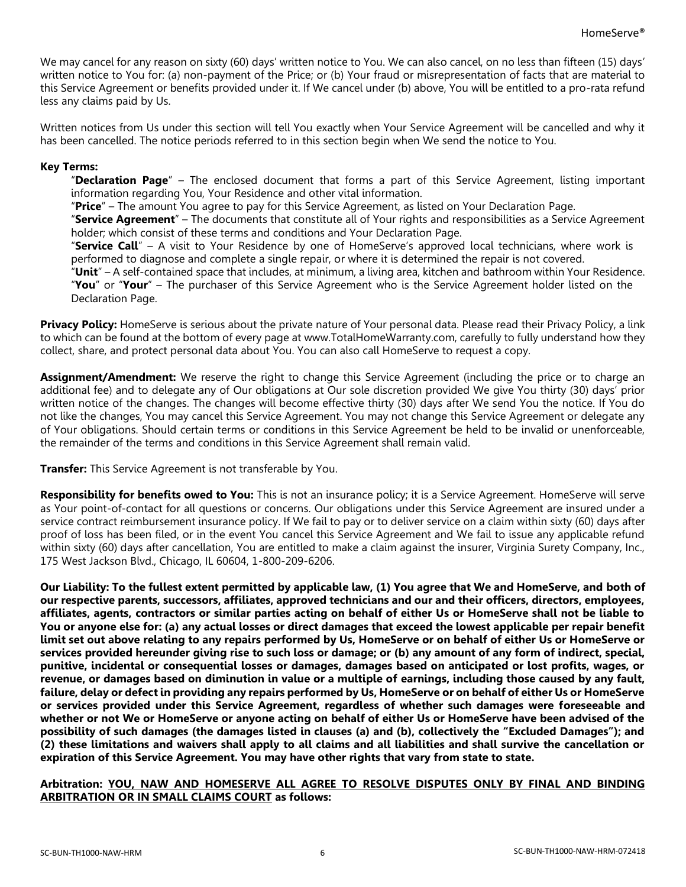We may cancel for any reason on sixty (60) days' written notice to You. We can also cancel, on no less than fifteen (15) days' written notice to You for: (a) non-payment of the Price; or (b) Your fraud or misrepresentation of facts that are material to this Service Agreement or benefits provided under it. If We cancel under (b) above, You will be entitled to a pro-rata refund less any claims paid by Us.

Written notices from Us under this section will tell You exactly when Your Service Agreement will be cancelled and why it has been cancelled. The notice periods referred to in this section begin when We send the notice to You.

## **Key Terms:**

"**Declaration Page**" – The enclosed document that forms a part of this Service Agreement, listing important information regarding You, Your Residence and other vital information.

"**Price**" – The amount You agree to pay for this Service Agreement, as listed on Your Declaration Page.

"**Service Agreement**" – The documents that constitute all of Your rights and responsibilities as a Service Agreement holder; which consist of these terms and conditions and Your Declaration Page.

"**Service Call**" – A visit to Your Residence by one of HomeServe's approved local technicians, where work is performed to diagnose and complete a single repair, or where it is determined the repair is not covered.

"**Unit**" – A self-contained space that includes, at minimum, a living area, kitchen and bathroom within Your Residence. "**You**" or "**Your**" – The purchaser of this Service Agreement who is the Service Agreement holder listed on the Declaration Page.

**Privacy Policy:** HomeServe is serious about the private nature of Your personal data. Please read their Privacy Policy, a link to which can be found at the bottom of every page at www.TotalHomeWarranty.com, carefully to fully understand how they collect, share, and protect personal data about You. You can also call HomeServe to request a copy.

**Assignment/Amendment:** We reserve the right to change this Service Agreement (including the price or to charge an additional fee) and to delegate any of Our obligations at Our sole discretion provided We give You thirty (30) days' prior written notice of the changes. The changes will become effective thirty (30) days after We send You the notice. If You do not like the changes, You may cancel this Service Agreement. You may not change this Service Agreement or delegate any of Your obligations. Should certain terms or conditions in this Service Agreement be held to be invalid or unenforceable, the remainder of the terms and conditions in this Service Agreement shall remain valid.

**Transfer:** This Service Agreement is not transferable by You.

**Responsibility for benefits owed to You:** This is not an insurance policy; it is a Service Agreement. HomeServe will serve as Your point-of-contact for all questions or concerns. Our obligations under this Service Agreement are insured under a service contract reimbursement insurance policy. If We fail to pay or to deliver service on a claim within sixty (60) days after proof of loss has been filed, or in the event You cancel this Service Agreement and We fail to issue any applicable refund within sixty (60) days after cancellation, You are entitled to make a claim against the insurer, Virginia Surety Company, Inc., 175 West Jackson Blvd., Chicago, IL 60604, 1-800-209-6206.

**Our Liability: To the fullest extent permitted by applicable law, (1) You agree that We and HomeServe, and both of our respective parents, successors, affiliates, approved technicians and our and their officers, directors, employees, affiliates, agents, contractors or similar parties acting on behalf of either Us or HomeServe shall not be liable to You or anyone else for: (a) any actual losses or direct damages that exceed the lowest applicable per repair benefit limit set out above relating to any repairs performed by Us, HomeServe or on behalf of either Us or HomeServe or services provided hereunder giving rise to such loss or damage; or (b) any amount of any form of indirect, special, punitive, incidental or consequential losses or damages, damages based on anticipated or lost profits, wages, or revenue, or damages based on diminution in value or a multiple of earnings, including those caused by any fault, failure, delay or defect in providing any repairs performed by Us, HomeServe or on behalf of either Us or HomeServe or services provided under this Service Agreement, regardless of whether such damages were foreseeable and whether or not We or HomeServe or anyone acting on behalf of either Us or HomeServe have been advised of the possibility of such damages (the damages listed in clauses (a) and (b), collectively the "Excluded Damages"); and (2) these limitations and waivers shall apply to all claims and all liabilities and shall survive the cancellation or expiration of this Service Agreement. You may have other rights that vary from state to state.**

**Arbitration: YOU, NAW AND HOMESERVE ALL AGREE TO RESOLVE DISPUTES ONLY BY FINAL AND BINDING ARBITRATION OR IN SMALL CLAIMS COURT as follows:**